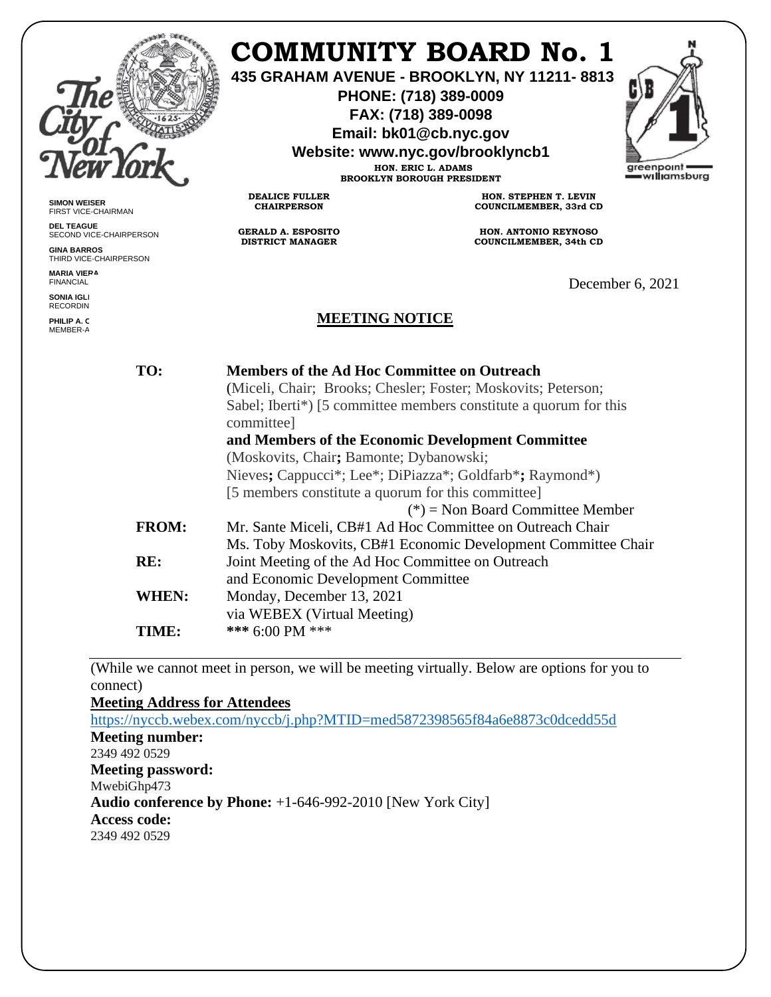

**SIMON WEISER** FIRST VICE-CHAIRMAN **DEL TEAGUE**

**GINA BARROS**

**MARIA VIERA** FINANCIAL **SONIA IGLE** RECORDIN **PHILIP A. C** MEMBER-A

SECOND VICE-CHAIRPERSON

THIRD VICE-CHAIRPERSON

# **COMMUNITY BOARD No. 1**

**435 GRAHAM AVENUE - BROOKLYN, NY 11211- 8813**

**PHONE: (718) 389-0009 FAX: (718) 389-0098**

**Email: bk01@cb.nyc.gov**

**Website: www.nyc.gov/brooklyncb1**

**HON. ERIC L. ADAMS BROOKLYN BOROUGH PRESIDENT**



**DEALICE FULLER CHAIRPERSON**

**GERALD A. ESPOSITO DISTRICT MANAGER**

**HON. STEPHEN T. LEVIN COUNCILMEMBER, 33rd CD**

**HON. ANTONIO REYNOSO COUNCILMEMBER, 34th CD**

December 6, 2021

#### **MEETING NOTICE**

| TO:          | <b>Members of the Ad Hoc Committee on Outreach</b><br>(Miceli, Chair; Brooks; Chesler; Foster; Moskovits; Peterson; |
|--------------|---------------------------------------------------------------------------------------------------------------------|
|              | Sabel; Iberti*) [5 committee members constitute a quorum for this<br>committee]                                     |
|              | and Members of the Economic Development Committee                                                                   |
|              | (Moskovits, Chair; Bamonte; Dybanowski;                                                                             |
|              | Nieves; Cappucci*; Lee*; DiPiazza*; Goldfarb*; Raymond*)                                                            |
|              | [5 members constitute a quorum for this committee]                                                                  |
|              | (*) = Non Board Committee Member                                                                                    |
| <b>FROM:</b> | Mr. Sante Miceli, CB#1 Ad Hoc Committee on Outreach Chair                                                           |
|              | Ms. Toby Moskovits, CB#1 Economic Development Committee Chair                                                       |
| RE:          | Joint Meeting of the Ad Hoc Committee on Outreach                                                                   |
|              | and Economic Development Committee                                                                                  |
| WHEN:        | Monday, December 13, 2021                                                                                           |
|              | via WEBEX (Virtual Meeting)                                                                                         |
| TIME:        | *** $6:00 \text{ PM}$ ***                                                                                           |
|              |                                                                                                                     |

(While we cannot meet in person, we will be meeting virtually. Below are options for you to connect)

**Meeting Address for Attendees**  <https://nyccb.webex.com/nyccb/j.php?MTID=med5872398565f84a6e8873c0dcedd55d> **Meeting number:** 2349 492 0529 **Meeting password:** MwebiGhp473 **Audio conference by Phone:** +1-646-992-2010 [New York City] **Access code:**  2349 492 0529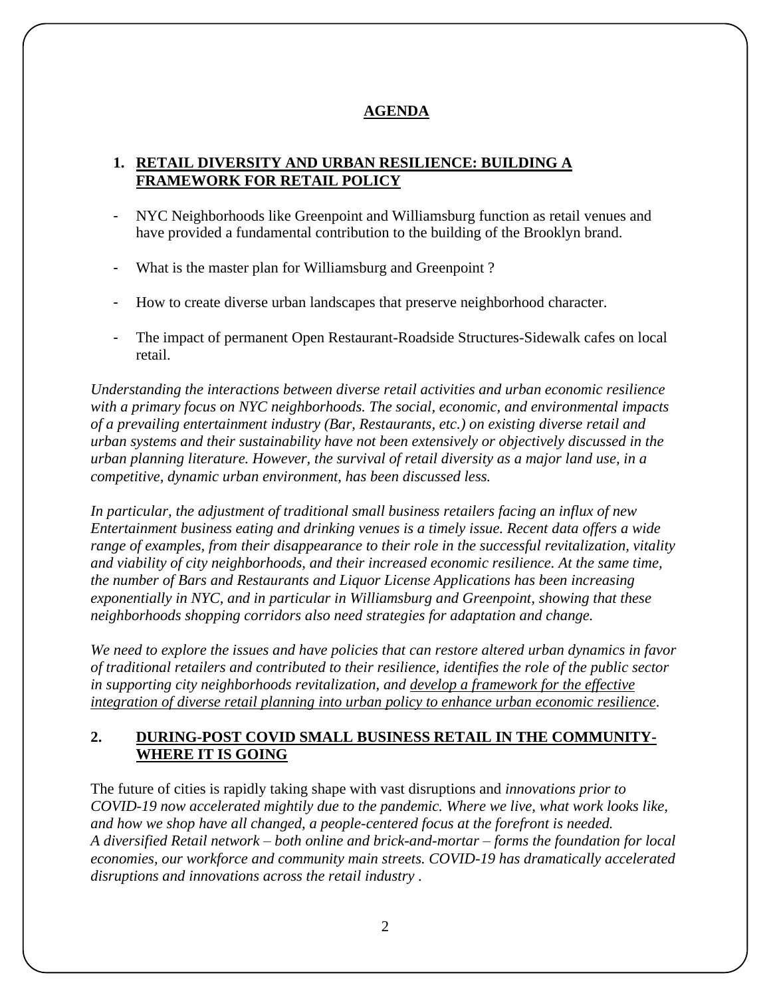## **AGENDA**

### **1. RETAIL DIVERSITY AND URBAN RESILIENCE: BUILDING A FRAMEWORK FOR RETAIL POLICY**

- NYC Neighborhoods like Greenpoint and Williamsburg function as retail venues and have provided a fundamental contribution to the building of the Brooklyn brand.
- What is the master plan for Williamsburg and Greenpoint ?
- How to create diverse urban landscapes that preserve neighborhood character.
- The impact of permanent Open Restaurant-Roadside Structures-Sidewalk cafes on local retail.

*Understanding the interactions between diverse retail activities and urban economic resilience with a primary focus on NYC neighborhoods. The social, economic, and environmental impacts of a prevailing entertainment industry (Bar, Restaurants, etc.) on existing diverse retail and urban systems and their sustainability have not been extensively or objectively discussed in the urban planning literature. However, the survival of retail diversity as a major land use, in a competitive, dynamic urban environment, has been discussed less.* 

*In particular, the adjustment of traditional small business retailers facing an influx of new Entertainment business eating and drinking venues is a timely issue. Recent data offers a wide range of examples, from their disappearance to their role in the successful revitalization, vitality and viability of city neighborhoods, and their increased economic resilience. At the same time, the number of Bars and Restaurants and Liquor License Applications has been increasing exponentially in NYC, and in particular in Williamsburg and Greenpoint, showing that these neighborhoods shopping corridors also need strategies for adaptation and change.* 

*We need to explore the issues and have policies that can restore altered urban dynamics in favor of traditional retailers and contributed to their resilience, identifies the role of the public sector in supporting city neighborhoods revitalization, and develop a framework for the effective integration of diverse retail planning into urban policy to enhance urban economic resilience.*

## **2. DURING-POST COVID SMALL BUSINESS RETAIL IN THE COMMUNITY-WHERE IT IS GOING**

The future of cities is rapidly taking shape with vast disruptions and *innovations prior to COVID-19 now accelerated mightily due to the pandemic. Where we live, what work looks like, and how we shop have all changed, a people-centered focus at the forefront is needed. A diversified Retail network – both online and brick-and-mortar – forms the foundation for local economies, our workforce and community main streets. COVID-19 has dramatically accelerated disruptions and innovations across the retail industry .*